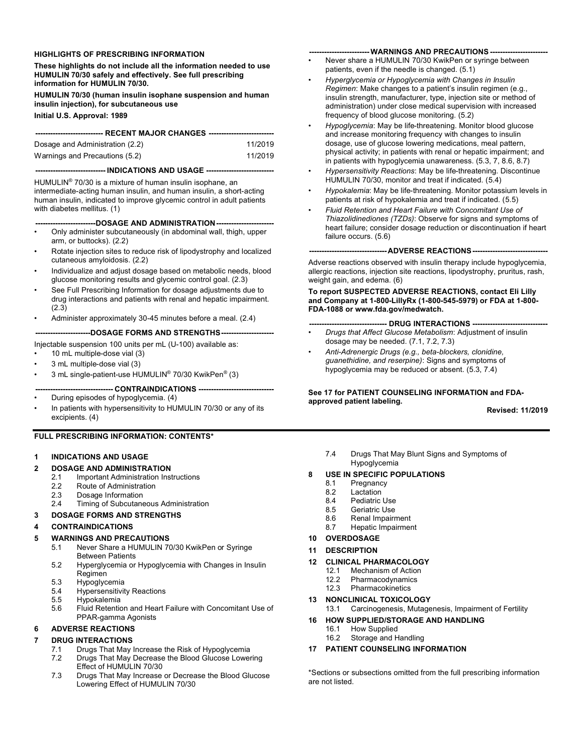### **HIGHLIGHTS OF PRESCRIBING INFORMATION**

**These highlights do not include all the information needed to use HUMULIN 70/30 safely and effectively. See full prescribing information for HUMULIN 70/30.**

**HUMULIN 70/30 (human insulin isophane suspension and human insulin injection), for subcutaneous use**

**Initial U.S. Approval: 1989**

| ----------------------------- RECENT MAJOR CHANGES ---------------------------- |         |  |
|---------------------------------------------------------------------------------|---------|--|
| Dosage and Administration (2.2)                                                 | 11/2019 |  |
| Warnings and Precautions (5.2)                                                  | 11/2019 |  |

### **---------------------------- INDICATIONS AND USAGE ---------------------------**

HUMULIN® 70/30 is a mixture of human insulin isophane, an intermediate-acting human insulin, and human insulin, a short-acting human insulin, indicated to improve glycemic control in adult patients with diabetes mellitus. (1)

### **------------------------DOSAGE AND ADMINISTRATION-----------------------**

- Only administer subcutaneously (in abdominal wall, thigh, upper arm, or buttocks). (2.2)
- Rotate injection sites to reduce risk of lipodystrophy and localized cutaneous amyloidosis. (2.2)
- Individualize and adjust dosage based on metabolic needs, blood glucose monitoring results and glycemic control goal. (2.3)
- See Full Prescribing Information for dosage adjustments due to drug interactions and patients with renal and hepatic impairment. (2.3)
- Administer approximately 30-45 minutes before a meal. (2.4)

**----------------------DOSAGE FORMS AND STRENGTHS---------------------**

### Injectable suspension 100 units per mL (U-100) available as:

- 10 mL multiple-dose vial (3)
- 3 mL multiple-dose vial (3)
- 3 mL single-patient-use HUMULIN® 70/30 KwikPen® (3)
- **------------------------------- CONTRAINDICATIONS ------------------------------**
- During episodes of hypoglycemia. (4)
- In patients with hypersensitivity to HUMULIN 70/30 or any of its excipients. (4)

### **FULL PRESCRIBING INFORMATION: CONTENTS\***

### **1 INDICATIONS AND USAGE**

- **2 DOSAGE AND ADMINISTRATION**
	- 2.1 Important Administration Instructions<br>2.2 Route of Administration
	- Route of Administration
	- 2.3 Dosage Information<br>2.4 Timing of Subcutane
		- Timing of Subcutaneous Administration
- **3 DOSAGE FORMS AND STRENGTHS**

### **4 CONTRAINDICATIONS**

### **5 WARNINGS AND PRECAUTIONS**

- 5.1 Never Share a HUMULIN 70/30 KwikPen or Syringe Between Patients
- 5.2 Hyperglycemia or Hypoglycemia with Changes in Insulin **Regimen**
- 5.3 Hypoglycemia<br>5.4 Hypersensitivit
- **Hypersensitivity Reactions**
- 5.5 Hypokalemia
- Fluid Retention and Heart Failure with Concomitant Use of PPAR-gamma Agonists

# **6 ADVERSE REACTIONS**

# **7 DRUG INTERACTIONS**<br> **7** 1 Drugs That May I

- 7.1 Drugs That May Increase the Risk of Hypoglycemia<br>7.2 Drugs That May Decrease the Blood Glucose Lower
- Drugs That May Decrease the Blood Glucose Lowering Effect of HUMULIN 70/30
- 7.3 Drugs That May Increase or Decrease the Blood Glucose Lowering Effect of HUMULIN 70/30

#### **------------------------ WARNINGS AND PRECAUTIONS -----------------------**

- Never share a HUMULIN 70/30 KwikPen or syringe between patients, even if the needle is changed. (5.1)
- *Hyperglycemia or Hypoglycemia with Changes in Insulin Regimen*: Make changes to a patient's insulin regimen (e.g., insulin strength, manufacturer, type, injection site or method of administration) under close medical supervision with increased frequency of blood glucose monitoring. (5.2)
- *Hypoglycemia*: May be life-threatening. Monitor blood glucose and increase monitoring frequency with changes to insulin dosage, use of glucose lowering medications, meal pattern, physical activity; in patients with renal or hepatic impairment; and in patients with hypoglycemia unawareness. (5.3, 7, 8.6, 8.7)
- *Hypersensitivity Reactions*: May be life-threatening. Discontinue HUMULIN 70/30, monitor and treat if indicated. (5.4)
- *Hypokalemia*: May be life-threatening. Monitor potassium levels in patients at risk of hypokalemia and treat if indicated. (5.5)
- *Fluid Retention and Heart Failure with Concomitant Use of Thiazolidinediones (TZDs)*: Observe for signs and symptoms of heart failure; consider dosage reduction or discontinuation if heart failure occurs. (5.6)

#### **-------------------------------ADVERSE REACTIONS------------------------------**

Adverse reactions observed with insulin therapy include hypoglycemia, allergic reactions, injection site reactions, lipodystrophy, pruritus, rash, weight gain, and edema. (6)

**To report SUSPECTED ADVERSE REACTIONS, contact Eli Lilly and Company at 1-800-LillyRx (1-800-545-5979) or FDA at 1-800- FDA-1088 or www.fda.gov/medwatch.**

### **------------------------------- DRUG INTERACTIONS ------------------------------**

- *Drugs that Affect Glucose Metabolism*: Adjustment of insulin dosage may be needed. (7.1, 7.2, 7.3)
- *Anti-Adrenergic Drugs (e.g., beta-blockers, clonidine, guanethidine, and reserpine)*: Signs and symptoms of hypoglycemia may be reduced or absent. (5.3, 7.4)

### **See 17 for PATIENT COUNSELING INFORMATION and FDAapproved patient labeling.**

**Revised: 11/2019**

7.4 Drugs That May Blunt Signs and Symptoms of Hypoglycemia

### **8 USE IN SPECIFIC POPULATIONS**

- 8.1 Pregnancy<br>8.2 Lactation
- 8.2 Lactation<br>8.4 Pediatric
- Pediatric Use
- 8.5 Geriatric Use<br>8.6 Renal Impairr
- 8.6 Renal Impairment<br>8.7 Henatic Impairment
- Hepatic Impairment
- **10 OVERDOSAGE**
- **11 DESCRIPTION**
- **12 CLINICAL PHARMACOLOGY**
	- 12.1 Mechanism of Action<br>12.2 Pharmacodynamics
		- Pharmacodynamics
	- 12.3 Pharmacokinetics
- **13 NONCLINICAL TOXICOLOGY**
- 13.1 Carcinogenesis, Mutagenesis, Impairment of Fertility
- **16 HOW SUPPLIED/STORAGE AND HANDLING**
	- 16.1 How Supplied<br>16.2 Storage and H
	- Storage and Handling
- **17 PATIENT COUNSELING INFORMATION**

\*Sections or subsections omitted from the full prescribing information are not listed.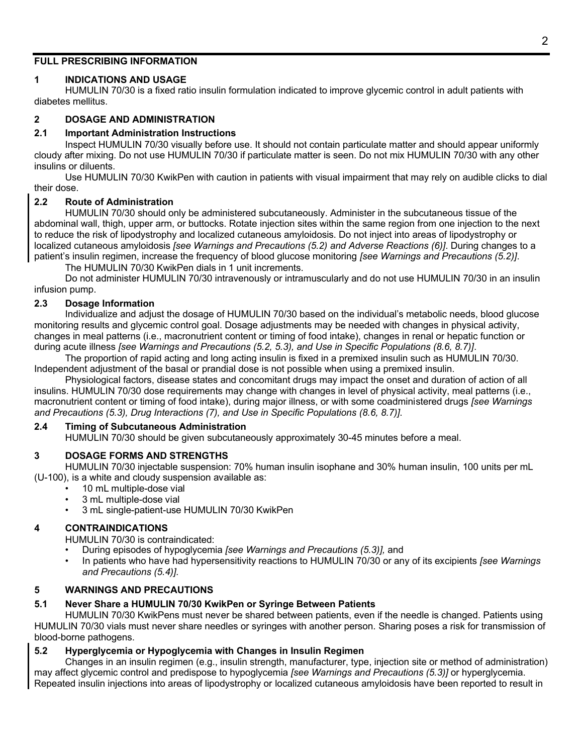# **FULL PRESCRIBING INFORMATION**

# **1 INDICATIONS AND USAGE**

HUMULIN 70/30 is a fixed ratio insulin formulation indicated to improve glycemic control in adult patients with diabetes mellitus.

# **2 DOSAGE AND ADMINISTRATION**

# **2.1 Important Administration Instructions**

Inspect HUMULIN 70/30 visually before use. It should not contain particulate matter and should appear uniformly cloudy after mixing. Do not use HUMULIN 70/30 if particulate matter is seen. Do not mix HUMULIN 70/30 with any other insulins or diluents.

Use HUMULIN 70/30 KwikPen with caution in patients with visual impairment that may rely on audible clicks to dial their dose.

# **2.2 Route of Administration**

HUMULIN 70/30 should only be administered subcutaneously. Administer in the subcutaneous tissue of the abdominal wall, thigh, upper arm, or buttocks. Rotate injection sites within the same region from one injection to the next to reduce the risk of lipodystrophy and localized cutaneous amyloidosis. Do not inject into areas of lipodystrophy or localized cutaneous amyloidosis *[see Warnings and Precautions (5.2) and Adverse Reactions (6)]*. During changes to a patient's insulin regimen, increase the frequency of blood glucose monitoring *[see Warnings and Precautions (5.2)]*.

The HUMULIN 70/30 KwikPen dials in 1 unit increments.

Do not administer HUMULIN 70/30 intravenously or intramuscularly and do not use HUMULIN 70/30 in an insulin infusion pump.

## **2.3 Dosage Information**

Individualize and adjust the dosage of HUMULIN 70/30 based on the individual's metabolic needs, blood glucose monitoring results and glycemic control goal. Dosage adjustments may be needed with changes in physical activity, changes in meal patterns (i.e., macronutrient content or timing of food intake), changes in renal or hepatic function or during acute illness *[see Warnings and Precautions (5.2, 5.3), and Use in Specific Populations (8.6, 8.7)]*.

The proportion of rapid acting and long acting insulin is fixed in a premixed insulin such as HUMULIN 70/30. Independent adjustment of the basal or prandial dose is not possible when using a premixed insulin.

Physiological factors, disease states and concomitant drugs may impact the onset and duration of action of all insulins. HUMULIN 70/30 dose requirements may change with changes in level of physical activity, meal patterns (i.e., macronutrient content or timing of food intake), during major illness, or with some coadministered drugs *[see Warnings and Precautions (5.3), Drug Interactions (7), and Use in Specific Populations (8.6, 8.7)]*.

### **2.4 Timing of Subcutaneous Administration**

HUMULIN 70/30 should be given subcutaneously approximately 30-45 minutes before a meal.

# **3 DOSAGE FORMS AND STRENGTHS**

HUMULIN 70/30 injectable suspension: 70% human insulin isophane and 30% human insulin, 100 units per mL (U-100), is a white and cloudy suspension available as:

- 10 mL multiple-dose vial
- 3 mL multiple-dose vial
- 3 mL single-patient-use HUMULIN 70/30 KwikPen

# **4 CONTRAINDICATIONS**

HUMULIN 70/30 is contraindicated:

- During episodes of hypoglycemia *[see Warnings and Precautions (5.3)],* and
- In patients who have had hypersensitivity reactions to HUMULIN 70/30 or any of its excipients *[see Warnings and Precautions (5.4)]*.

# **5 WARNINGS AND PRECAUTIONS**

# **5.1 Never Share a HUMULIN 70/30 KwikPen or Syringe Between Patients**

HUMULIN 70/30 KwikPens must never be shared between patients, even if the needle is changed. Patients using HUMULIN 70/30 vials must never share needles or syringes with another person. Sharing poses a risk for transmission of blood-borne pathogens.

# **5.2 Hyperglycemia or Hypoglycemia with Changes in Insulin Regimen**

Changes in an insulin regimen (e.g., insulin strength, manufacturer, type, injection site or method of administration) may affect glycemic control and predispose to hypoglycemia *[see Warnings and Precautions (5.3)]* or hyperglycemia. Repeated insulin injections into areas of lipodystrophy or localized cutaneous amyloidosis have been reported to result in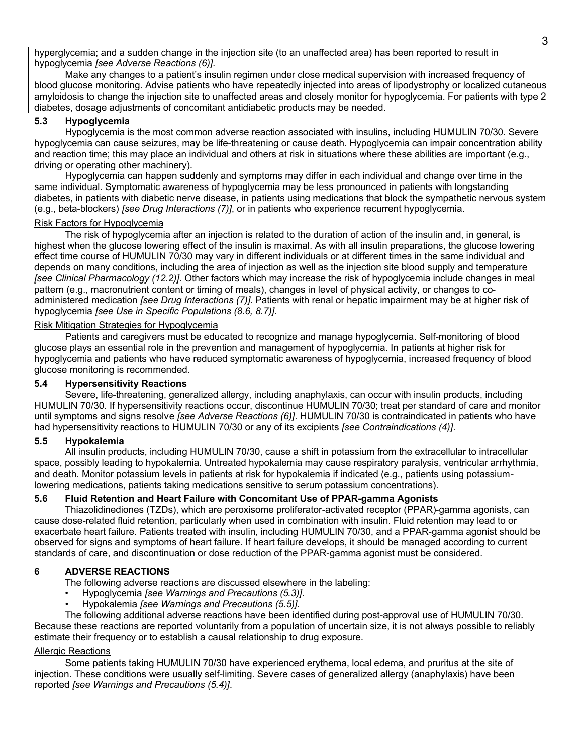hyperglycemia; and a sudden change in the injection site (to an unaffected area) has been reported to result in hypoglycemia *[see Adverse Reactions (6)]*.

Make any changes to a patient's insulin regimen under close medical supervision with increased frequency of blood glucose monitoring. Advise patients who have repeatedly injected into areas of lipodystrophy or localized cutaneous amyloidosis to change the injection site to unaffected areas and closely monitor for hypoglycemia. For patients with type 2 diabetes, dosage adjustments of concomitant antidiabetic products may be needed.

## **5.3 Hypoglycemia**

Hypoglycemia is the most common adverse reaction associated with insulins, including HUMULIN 70/30. Severe hypoglycemia can cause seizures, may be life-threatening or cause death. Hypoglycemia can impair concentration ability and reaction time; this may place an individual and others at risk in situations where these abilities are important (e.g., driving or operating other machinery).

Hypoglycemia can happen suddenly and symptoms may differ in each individual and change over time in the same individual. Symptomatic awareness of hypoglycemia may be less pronounced in patients with longstanding diabetes, in patients with diabetic nerve disease, in patients using medications that block the sympathetic nervous system (e.g., beta-blockers) *[see Drug Interactions (7)]*, or in patients who experience recurrent hypoglycemia.

### Risk Factors for Hypoglycemia

The risk of hypoglycemia after an injection is related to the duration of action of the insulin and, in general, is highest when the glucose lowering effect of the insulin is maximal. As with all insulin preparations, the glucose lowering effect time course of HUMULIN 70/30 may vary in different individuals or at different times in the same individual and depends on many conditions, including the area of injection as well as the injection site blood supply and temperature *[see Clinical Pharmacology (12.2)]*. Other factors which may increase the risk of hypoglycemia include changes in meal pattern (e.g., macronutrient content or timing of meals), changes in level of physical activity, or changes to coadministered medication *[see Drug Interactions (7)]*. Patients with renal or hepatic impairment may be at higher risk of hypoglycemia *[see Use in Specific Populations (8.6, 8.7)]*.

### Risk Mitigation Strategies for Hypoglycemia

Patients and caregivers must be educated to recognize and manage hypoglycemia. Self-monitoring of blood glucose plays an essential role in the prevention and management of hypoglycemia. In patients at higher risk for hypoglycemia and patients who have reduced symptomatic awareness of hypoglycemia, increased frequency of blood glucose monitoring is recommended.

### **5.4 Hypersensitivity Reactions**

Severe, life-threatening, generalized allergy, including anaphylaxis, can occur with insulin products, including HUMULIN 70/30. If hypersensitivity reactions occur, discontinue HUMULIN 70/30; treat per standard of care and monitor until symptoms and signs resolve *[see Adverse Reactions (6)]*. HUMULIN 70/30 is contraindicated in patients who have had hypersensitivity reactions to HUMULIN 70/30 or any of its excipients *[see Contraindications (4)]*.

# **5.5 Hypokalemia**

All insulin products, including HUMULIN 70/30, cause a shift in potassium from the extracellular to intracellular space, possibly leading to hypokalemia. Untreated hypokalemia may cause respiratory paralysis, ventricular arrhythmia, and death. Monitor potassium levels in patients at risk for hypokalemia if indicated (e.g., patients using potassiumlowering medications, patients taking medications sensitive to serum potassium concentrations).

# **5.6 Fluid Retention and Heart Failure with Concomitant Use of PPAR-gamma Agonists**

Thiazolidinediones (TZDs), which are peroxisome proliferator-activated receptor (PPAR)-gamma agonists, can cause dose-related fluid retention, particularly when used in combination with insulin. Fluid retention may lead to or exacerbate heart failure. Patients treated with insulin, including HUMULIN 70/30, and a PPAR-gamma agonist should be observed for signs and symptoms of heart failure. If heart failure develops, it should be managed according to current standards of care, and discontinuation or dose reduction of the PPAR-gamma agonist must be considered.

# **6 ADVERSE REACTIONS**

The following adverse reactions are discussed elsewhere in the labeling:

- Hypoglycemia *[see Warnings and Precautions (5.3)]*.
- Hypokalemia *[see Warnings and Precautions (5.5)]*.

The following additional adverse reactions have been identified during post-approval use of HUMULIN 70/30. Because these reactions are reported voluntarily from a population of uncertain size, it is not always possible to reliably estimate their frequency or to establish a causal relationship to drug exposure.

### Allergic Reactions

Some patients taking HUMULIN 70/30 have experienced erythema, local edema, and pruritus at the site of injection. These conditions were usually self-limiting. Severe cases of generalized allergy (anaphylaxis) have been reported *[see Warnings and Precautions (5.4)]*.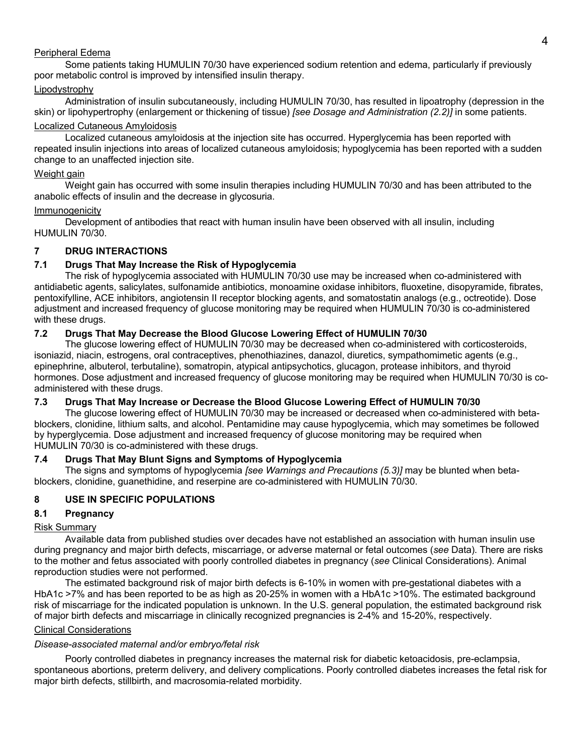### Peripheral Edema

Some patients taking HUMULIN 70/30 have experienced sodium retention and edema, particularly if previously poor metabolic control is improved by intensified insulin therapy.

# **Lipodystrophy**

Administration of insulin subcutaneously, including HUMULIN 70/30, has resulted in lipoatrophy (depression in the skin) or lipohypertrophy (enlargement or thickening of tissue) *[see Dosage and Administration (2.2)]* in some patients. Localized Cutaneous Amyloidosis

Localized cutaneous amyloidosis at the injection site has occurred. Hyperglycemia has been reported with repeated insulin injections into areas of localized cutaneous amyloidosis; hypoglycemia has been reported with a sudden change to an unaffected injection site.

# Weight gain

Weight gain has occurred with some insulin therapies including HUMULIN 70/30 and has been attributed to the anabolic effects of insulin and the decrease in glycosuria.

## Immunogenicity

Development of antibodies that react with human insulin have been observed with all insulin, including HUMULIN 70/30.

# **7 DRUG INTERACTIONS**

# **7.1 Drugs That May Increase the Risk of Hypoglycemia**

The risk of hypoglycemia associated with HUMULIN 70/30 use may be increased when co-administered with antidiabetic agents, salicylates, sulfonamide antibiotics, monoamine oxidase inhibitors, fluoxetine, disopyramide, fibrates, pentoxifylline, ACE inhibitors, angiotensin II receptor blocking agents, and somatostatin analogs (e.g., octreotide). Dose adjustment and increased frequency of glucose monitoring may be required when HUMULIN 70/30 is co-administered with these drugs.

# **7.2 Drugs That May Decrease the Blood Glucose Lowering Effect of HUMULIN 70/30**

The glucose lowering effect of HUMULIN 70/30 may be decreased when co-administered with corticosteroids, isoniazid, niacin, estrogens, oral contraceptives, phenothiazines, danazol, diuretics, sympathomimetic agents (e.g., epinephrine, albuterol, terbutaline), somatropin, atypical antipsychotics, glucagon, protease inhibitors, and thyroid hormones. Dose adjustment and increased frequency of glucose monitoring may be required when HUMULIN 70/30 is coadministered with these drugs.

# **7.3 Drugs That May Increase or Decrease the Blood Glucose Lowering Effect of HUMULIN 70/30**

The glucose lowering effect of HUMULIN 70/30 may be increased or decreased when co-administered with betablockers, clonidine, lithium salts, and alcohol. Pentamidine may cause hypoglycemia, which may sometimes be followed by hyperglycemia. Dose adjustment and increased frequency of glucose monitoring may be required when HUMULIN 70/30 is co-administered with these drugs.

# **7.4 Drugs That May Blunt Signs and Symptoms of Hypoglycemia**

The signs and symptoms of hypoglycemia *[see Warnings and Precautions (5.3)]* may be blunted when betablockers, clonidine, guanethidine, and reserpine are co-administered with HUMULIN 70/30.

# **8 USE IN SPECIFIC POPULATIONS**

# **8.1 Pregnancy**

# Risk Summary

Available data from published studies over decades have not established an association with human insulin use during pregnancy and major birth defects, miscarriage, or adverse maternal or fetal outcomes (*see* Data). There are risks to the mother and fetus associated with poorly controlled diabetes in pregnancy (*see* Clinical Considerations). Animal reproduction studies were not performed.

The estimated background risk of major birth defects is 6-10% in women with pre-gestational diabetes with a HbA1c >7% and has been reported to be as high as 20-25% in women with a HbA1c >10%. The estimated background risk of miscarriage for the indicated population is unknown. In the U.S. general population, the estimated background risk of major birth defects and miscarriage in clinically recognized pregnancies is 2-4% and 15-20%, respectively.

# Clinical Considerations

# *Disease-associated maternal and/or embryo/fetal risk*

Poorly controlled diabetes in pregnancy increases the maternal risk for diabetic ketoacidosis, pre-eclampsia, spontaneous abortions, preterm delivery, and delivery complications. Poorly controlled diabetes increases the fetal risk for major birth defects, stillbirth, and macrosomia-related morbidity.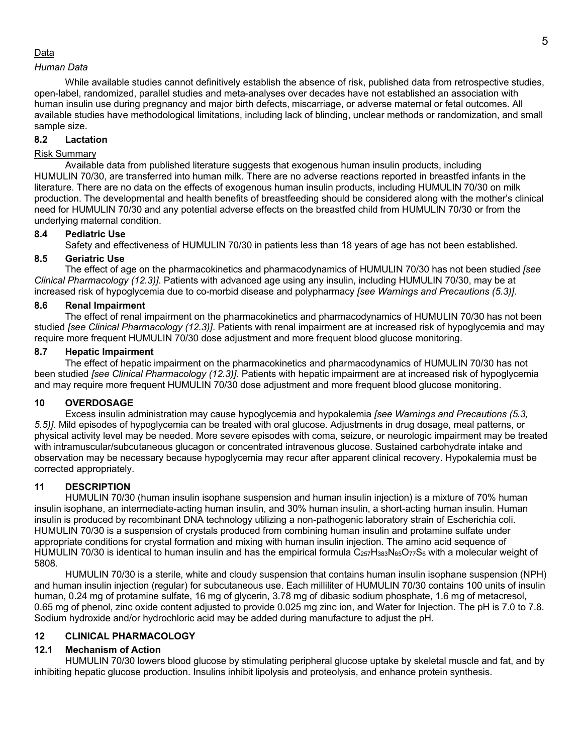## Data

## *Human Data*

While available studies cannot definitively establish the absence of risk, published data from retrospective studies, open-label, randomized, parallel studies and meta-analyses over decades have not established an association with human insulin use during pregnancy and major birth defects, miscarriage, or adverse maternal or fetal outcomes. All available studies have methodological limitations, including lack of blinding, unclear methods or randomization, and small sample size.

## **8.2 Lactation**

# Risk Summary

Available data from published literature suggests that exogenous human insulin products, including HUMULIN 70/30, are transferred into human milk. There are no adverse reactions reported in breastfed infants in the literature. There are no data on the effects of exogenous human insulin products, including HUMULIN 70/30 on milk production. The developmental and health benefits of breastfeeding should be considered along with the mother's clinical need for HUMULIN 70/30 and any potential adverse effects on the breastfed child from HUMULIN 70/30 or from the underlying maternal condition.

## **8.4 Pediatric Use**

Safety and effectiveness of HUMULIN 70/30 in patients less than 18 years of age has not been established.

# **8.5 Geriatric Use**

The effect of age on the pharmacokinetics and pharmacodynamics of HUMULIN 70/30 has not been studied *[see Clinical Pharmacology (12.3)]*. Patients with advanced age using any insulin, including HUMULIN 70/30, may be at increased risk of hypoglycemia due to co-morbid disease and polypharmacy *[see Warnings and Precautions (5.3)]*.

## **8.6 Renal Impairment**

The effect of renal impairment on the pharmacokinetics and pharmacodynamics of HUMULIN 70/30 has not been studied *[see Clinical Pharmacology (12.3)]*. Patients with renal impairment are at increased risk of hypoglycemia and may require more frequent HUMULIN 70/30 dose adjustment and more frequent blood glucose monitoring.

# **8.7 Hepatic Impairment**

The effect of hepatic impairment on the pharmacokinetics and pharmacodynamics of HUMULIN 70/30 has not been studied *[see Clinical Pharmacology (12.3)]*. Patients with hepatic impairment are at increased risk of hypoglycemia and may require more frequent HUMULIN 70/30 dose adjustment and more frequent blood glucose monitoring.

# **10 OVERDOSAGE**

Excess insulin administration may cause hypoglycemia and hypokalemia *[see Warnings and Precautions (5.3, 5.5)]*. Mild episodes of hypoglycemia can be treated with oral glucose. Adjustments in drug dosage, meal patterns, or physical activity level may be needed. More severe episodes with coma, seizure, or neurologic impairment may be treated with intramuscular/subcutaneous glucagon or concentrated intravenous glucose. Sustained carbohydrate intake and observation may be necessary because hypoglycemia may recur after apparent clinical recovery. Hypokalemia must be corrected appropriately.

# **11 DESCRIPTION**

HUMULIN 70/30 (human insulin isophane suspension and human insulin injection) is a mixture of 70% human insulin isophane, an intermediate-acting human insulin, and 30% human insulin, a short-acting human insulin. Human insulin is produced by recombinant DNA technology utilizing a non-pathogenic laboratory strain of Escherichia coli. HUMULIN 70/30 is a suspension of crystals produced from combining human insulin and protamine sulfate under appropriate conditions for crystal formation and mixing with human insulin injection. The amino acid sequence of HUMULIN 70/30 is identical to human insulin and has the empirical formula  $C_{257}H_{383}N_{65}O_{77}S_6$  with a molecular weight of 5808.

HUMULIN 70/30 is a sterile, white and cloudy suspension that contains human insulin isophane suspension (NPH) and human insulin injection (regular) for subcutaneous use. Each milliliter of HUMULIN 70/30 contains 100 units of insulin human, 0.24 mg of protamine sulfate, 16 mg of glycerin, 3.78 mg of dibasic sodium phosphate, 1.6 mg of metacresol, 0.65 mg of phenol, zinc oxide content adjusted to provide 0.025 mg zinc ion, and Water for Injection. The pH is 7.0 to 7.8. Sodium hydroxide and/or hydrochloric acid may be added during manufacture to adjust the pH.

# **12 CLINICAL PHARMACOLOGY**

# **12.1 Mechanism of Action**

HUMULIN 70/30 lowers blood glucose by stimulating peripheral glucose uptake by skeletal muscle and fat, and by inhibiting hepatic glucose production. Insulins inhibit lipolysis and proteolysis, and enhance protein synthesis.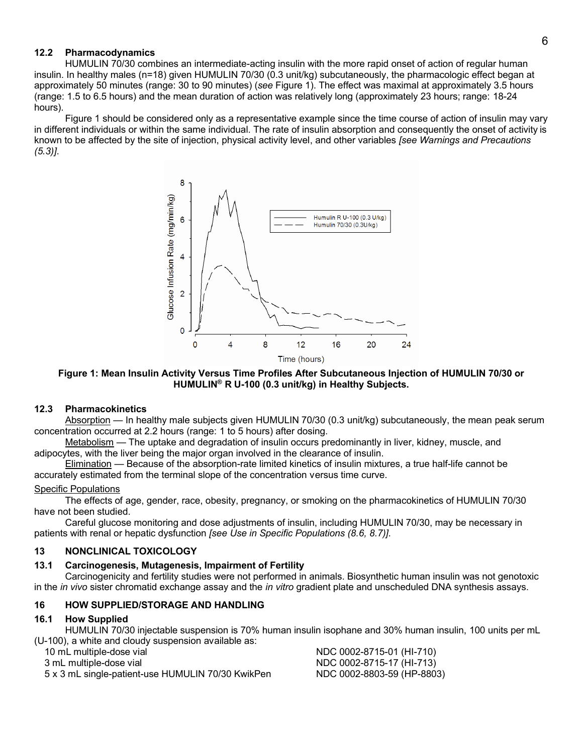# **12.2 Pharmacodynamics**

HUMULIN 70/30 combines an intermediate-acting insulin with the more rapid onset of action of regular human insulin. In healthy males (n=18) given HUMULIN 70/30 (0.3 unit/kg) subcutaneously, the pharmacologic effect began at approximately 50 minutes (range: 30 to 90 minutes) (*see* Figure 1). The effect was maximal at approximately 3.5 hours (range: 1.5 to 6.5 hours) and the mean duration of action was relatively long (approximately 23 hours; range: 18-24 hours).

Figure 1 should be considered only as a representative example since the time course of action of insulin may vary in different individuals or within the same individual. The rate of insulin absorption and consequently the onset of activity is known to be affected by the site of injection, physical activity level, and other variables *[see Warnings and Precautions (5.3)]*.



**Figure 1: Mean Insulin Activity Versus Time Profiles After Subcutaneous Injection of HUMULIN 70/30 or HUMULIN® R U-100 (0.3 unit/kg) in Healthy Subjects.**

### **12.3 Pharmacokinetics**

Absorption — In healthy male subjects given HUMULIN 70/30 (0.3 unit/kg) subcutaneously, the mean peak serum concentration occurred at 2.2 hours (range: 1 to 5 hours) after dosing.

Metabolism — The uptake and degradation of insulin occurs predominantly in liver, kidney, muscle, and adipocytes, with the liver being the major organ involved in the clearance of insulin.

Elimination — Because of the absorption-rate limited kinetics of insulin mixtures, a true half-life cannot be accurately estimated from the terminal slope of the concentration versus time curve.

### Specific Populations

The effects of age, gender, race, obesity, pregnancy, or smoking on the pharmacokinetics of HUMULIN 70/30 have not been studied.

Careful glucose monitoring and dose adjustments of insulin, including HUMULIN 70/30, may be necessary in patients with renal or hepatic dysfunction *[see Use in Specific Populations (8.6, 8.7)]*.

# **13 NONCLINICAL TOXICOLOGY**

# **13.1 Carcinogenesis, Mutagenesis, Impairment of Fertility**

Carcinogenicity and fertility studies were not performed in animals. Biosynthetic human insulin was not genotoxic in the *in vivo* sister chromatid exchange assay and the *in vitro* gradient plate and unscheduled DNA synthesis assays.

# **16 HOW SUPPLIED/STORAGE AND HANDLING**

### **16.1 How Supplied**

HUMULIN 70/30 injectable suspension is 70% human insulin isophane and 30% human insulin, 100 units per mL (U-100), a white and cloudy suspension available as:

5 x 3 mL single-patient-use HUMULIN 70/30 KwikPen NDC 0002-8803-59 (HP-8803)

10 mL multiple-dose vial NDC 0002-8715-01 (HI-710) 3 mL multiple-dose vial NDC 0002-8715-17 (HI-713)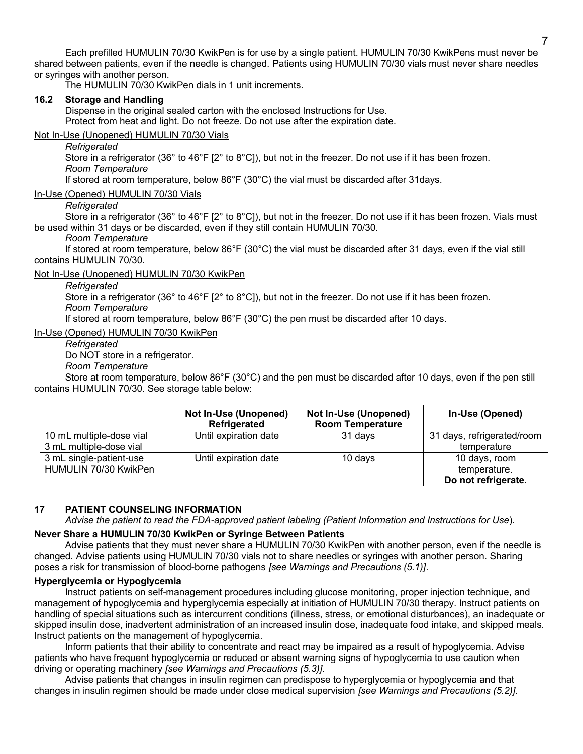Each prefilled HUMULIN 70/30 KwikPen is for use by a single patient. HUMULIN 70/30 KwikPens must never be shared between patients, even if the needle is changed. Patients using HUMULIN 70/30 vials must never share needles or syringes with another person.

The HUMULIN 70/30 KwikPen dials in 1 unit increments.

### **16.2 Storage and Handling**

Dispense in the original sealed carton with the enclosed Instructions for Use. Protect from heat and light. Do not freeze. Do not use after the expiration date.

## Not In-Use (Unopened) HUMULIN 70/30 Vials

### *Refrigerated*

Store in a refrigerator (36° to 46°F [2° to 8°C]), but not in the freezer. Do not use if it has been frozen. *Room Temperature*

If stored at room temperature, below 86°F (30°C) the vial must be discarded after 31days.

## In-Use (Opened) HUMULIN 70/30 Vials

### *Refrigerated*

Store in a refrigerator (36° to 46°F [2° to 8°C]), but not in the freezer. Do not use if it has been frozen. Vials must be used within 31 days or be discarded, even if they still contain HUMULIN 70/30.

### *Room Temperature*

If stored at room temperature, below 86°F (30°C) the vial must be discarded after 31 days, even if the vial still contains HUMULIN 70/30.

## Not In-Use (Unopened) HUMULIN 70/30 KwikPen

### *Refrigerated*

Store in a refrigerator (36° to 46°F [2° to 8°C]), but not in the freezer. Do not use if it has been frozen.

*Room Temperature*

If stored at room temperature, below 86°F (30°C) the pen must be discarded after 10 days.

## In-Use (Opened) HUMULIN 70/30 KwikPen

*Refrigerated*

Do NOT store in a refrigerator.

*Room Temperature*

Store at room temperature, below 86°F (30°C) and the pen must be discarded after 10 days, even if the pen still contains HUMULIN 70/30. See storage table below:

|                                                     | Not In-Use (Unopened)<br>Refrigerated | <b>Not In-Use (Unopened)</b><br><b>Room Temperature</b> | In-Use (Opened)                                      |
|-----------------------------------------------------|---------------------------------------|---------------------------------------------------------|------------------------------------------------------|
| 10 mL multiple-dose vial<br>3 mL multiple-dose vial | Until expiration date                 | 31 days                                                 | 31 days, refrigerated/room<br>temperature            |
| 3 mL single-patient-use<br>HUMULIN 70/30 KwikPen    | Until expiration date                 | 10 days                                                 | 10 days, room<br>temperature.<br>Do not refrigerate. |

# **17 PATIENT COUNSELING INFORMATION**

*Advise the patient to read the FDA-approved patient labeling (Patient Information and Instructions for Use*)*.*

# **Never Share a HUMULIN 70/30 KwikPen or Syringe Between Patients**

Advise patients that they must never share a HUMULIN 70/30 KwikPen with another person, even if the needle is changed. Advise patients using HUMULIN 70/30 vials not to share needles or syringes with another person. Sharing poses a risk for transmission of blood-borne pathogens *[see Warnings and Precautions (5.1)]*.

## **Hyperglycemia or Hypoglycemia**

Instruct patients on self-management procedures including glucose monitoring, proper injection technique, and management of hypoglycemia and hyperglycemia especially at initiation of HUMULIN 70/30 therapy. Instruct patients on handling of special situations such as intercurrent conditions (illness, stress, or emotional disturbances), an inadequate or skipped insulin dose, inadvertent administration of an increased insulin dose, inadequate food intake, and skipped meals. Instruct patients on the management of hypoglycemia.

Inform patients that their ability to concentrate and react may be impaired as a result of hypoglycemia. Advise patients who have frequent hypoglycemia or reduced or absent warning signs of hypoglycemia to use caution when driving or operating machinery *[see Warnings and Precautions (5.3)]*.

Advise patients that changes in insulin regimen can predispose to hyperglycemia or hypoglycemia and that changes in insulin regimen should be made under close medical supervision *[see Warnings and Precautions (5.2)]*.